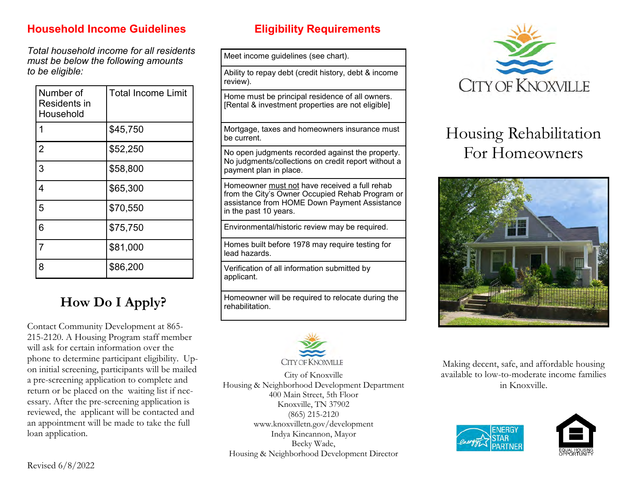# **Household Income Guidelines Eligibility Requirements**

*Total household income for all residents must be below the following amounts to be eligible:*

| Number of<br>Residents in<br>Household | <b>Total Income Limit</b> |
|----------------------------------------|---------------------------|
| 1                                      | \$45,750                  |
| $\overline{2}$                         | \$52,250                  |
| 3                                      | \$58,800                  |
| 4                                      | \$65,300                  |
| 5                                      | \$70,550                  |
| 6                                      | \$75,750                  |
| 7                                      | \$81,000                  |
| 8                                      | \$86,200                  |

# **How Do I Apply?**

Contact Community Development at 865- 215-2120. A Housing Program staff member will ask for certain information over the phone to determine participant eligibility. Upon initial screening, participants will be mailed a pre-screening application to complete and return or be placed on the waiting list if necessary. After the pre-screening application is reviewed, the applicant will be contacted and an appointment will be made to take the full loan application.

Meet income guidelines (see chart).

Ability to repay debt (credit history, debt & income review).

Home must be principal residence of all owners. [Rental & investment properties are not eligible]

Mortgage, taxes and homeowners insurance must be current.

No open judgments recorded against the property. No judgments/collections on credit report without a payment plan in place.

Homeowner must not have received a full rehab from the City's Owner Occupied Rehab Program or assistance from HOME Down Payment Assistance in the past 10 years.

Environmental/historic review may be required.

Homes built before 1978 may require testing for lead hazards.

Verification of all information submitted by applicant.

Homeowner will be required to relocate during the rehabilitation.



City of Knoxville Housing & Neighborhood Development Department 400 Main Street, 5th Floor Knoxville, TN 37902 (865) 215-2120 www.knoxvilletn.gov/development Indya Kincannon, Mayor Becky Wade, Housing & Neighborhood Development Director



# Housing Rehabilitation For Homeowners



Making decent, safe, and affordable housing available to low-to-moderate income families in Knoxville.